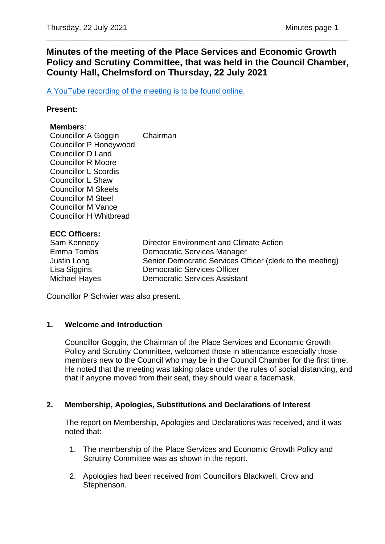# **Minutes of the meeting of the Place Services and Economic Growth Policy and Scrutiny Committee, that was held in the Council Chamber, County Hall, Chelmsford on Thursday, 22 July 2021**

\_\_\_\_\_\_\_\_\_\_\_\_\_\_\_\_\_\_\_\_\_\_\_\_\_\_\_\_\_\_\_\_\_\_\_\_\_\_\_\_\_\_\_\_\_\_\_\_\_\_\_\_\_\_\_\_\_\_\_\_\_\_\_\_\_\_\_\_\_\_

[A YouTube recording of the meeting is to be found online.](https://www.youtube.com/watch?v=A4j2Wv7TYbk)

#### **Present:**

#### **Members**:

Councillor A Goggin Chairman Councillor P Honeywood Councillor D Land Councillor R Moore Councillor L Scordis Councillor L Shaw Councillor M Skeels Councillor M Steel Councillor M Vance Councillor H Whitbread

### **ECC Officers:**

| Sam Kennedy   | Director Environment and Climate Action                   |
|---------------|-----------------------------------------------------------|
| Emma Tombs    | Democratic Services Manager                               |
| Justin Long   | Senior Democratic Services Officer (clerk to the meeting) |
| Lisa Siggins  | <b>Democratic Services Officer</b>                        |
| Michael Hayes | <b>Democratic Services Assistant</b>                      |

Councillor P Schwier was also present.

### **1. Welcome and Introduction**

Councillor Goggin, the Chairman of the Place Services and Economic Growth Policy and Scrutiny Committee, welcomed those in attendance especially those members new to the Council who may be in the Council Chamber for the first time. He noted that the meeting was taking place under the rules of social distancing, and that if anyone moved from their seat, they should wear a facemask.

### **2. Membership, Apologies, Substitutions and Declarations of Interest**

The report on Membership, Apologies and Declarations was received, and it was noted that:

- 1. The membership of the Place Services and Economic Growth Policy and Scrutiny Committee was as shown in the report.
- 2. Apologies had been received from Councillors Blackwell, Crow and Stephenson.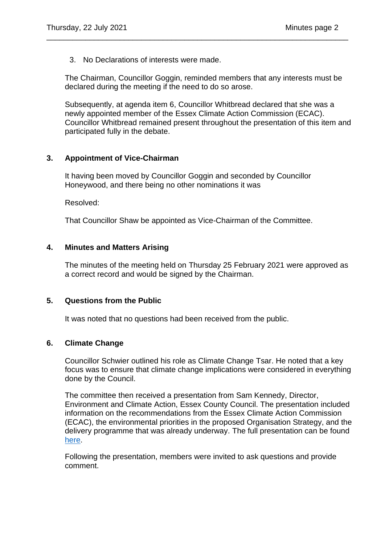3. No Declarations of interests were made.

The Chairman, Councillor Goggin, reminded members that any interests must be declared during the meeting if the need to do so arose.

\_\_\_\_\_\_\_\_\_\_\_\_\_\_\_\_\_\_\_\_\_\_\_\_\_\_\_\_\_\_\_\_\_\_\_\_\_\_\_\_\_\_\_\_\_\_\_\_\_\_\_\_\_\_\_\_\_\_\_\_\_\_\_\_\_\_\_\_\_\_

Subsequently, at agenda item 6, Councillor Whitbread declared that she was a newly appointed member of the Essex Climate Action Commission (ECAC). Councillor Whitbread remained present throughout the presentation of this item and participated fully in the debate.

## **3. Appointment of Vice-Chairman**

It having been moved by Councillor Goggin and seconded by Councillor Honeywood, and there being no other nominations it was

Resolved:

That Councillor Shaw be appointed as Vice-Chairman of the Committee.

### **4. Minutes and Matters Arising**

The minutes of the meeting held on Thursday 25 February 2021 were approved as a correct record and would be signed by the Chairman.

### **5. Questions from the Public**

It was noted that no questions had been received from the public.

### **6. Climate Change**

Councillor Schwier outlined his role as Climate Change Tsar. He noted that a key focus was to ensure that climate change implications were considered in everything done by the Council.

The committee then received a presentation from Sam Kennedy, Director, Environment and Climate Action, Essex County Council. The presentation included information on the recommendations from the Essex Climate Action Commission (ECAC), the environmental priorities in the proposed Organisation Strategy, and the delivery programme that was already underway. The full presentation can be found [here.](https://cmis.essex.gov.uk/essexcmis5/Document.ashx?czJKcaeAi5tUFL1DTL2UE4zNRBcoShgo=Ay59J%2beL7SUxqTxFh6Vn5lGF0PNnfXRFl8CKUnwpF2SnptQVKaZVkw%3d%3d&rUzwRPf%2bZ3zd4E7Ikn8Lyw%3d%3d=pwRE6AGJFLDNlh225F5QMaQWCtPHwdhUfCZ%2fLUQzgA2uL5jNRG4jdQ%3d%3d&mCTIbCubSFfXsDGW9IXnlg%3d%3d=hFflUdN3100%3d&kCx1AnS9%2fpWZQ40DXFvdEw%3d%3d=hFflUdN3100%3d&uJovDxwdjMPoYv%2bAJvYtyA%3d%3d=ctNJFf55vVA%3d&FgPlIEJYlotS%2bYGoBi5olA%3d%3d=NHdURQburHA%3d&d9Qjj0ag1Pd993jsyOJqFvmyB7X0CSQK=ctNJFf55vVA%3d&WGewmoAfeNR9xqBux0r1Q8Za60lavYmz=ctNJFf55vVA%3d&WGewmoAfeNQ16B2MHuCpMRKZMwaG1PaO=ctNJFf55vVA%3d)

Following the presentation, members were invited to ask questions and provide comment.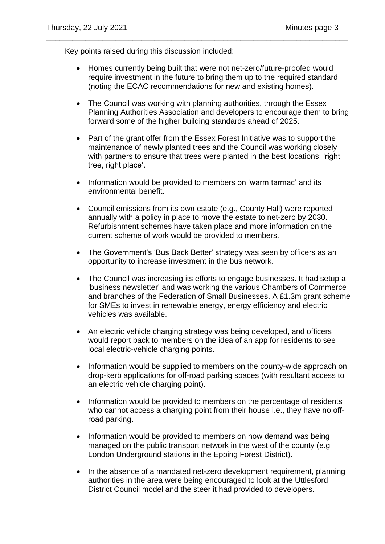Key points raised during this discussion included:

• Homes currently being built that were not net-zero/future-proofed would require investment in the future to bring them up to the required standard (noting the ECAC recommendations for new and existing homes).

\_\_\_\_\_\_\_\_\_\_\_\_\_\_\_\_\_\_\_\_\_\_\_\_\_\_\_\_\_\_\_\_\_\_\_\_\_\_\_\_\_\_\_\_\_\_\_\_\_\_\_\_\_\_\_\_\_\_\_\_\_\_\_\_\_\_\_\_\_\_

- The Council was working with planning authorities, through the Essex Planning Authorities Association and developers to encourage them to bring forward some of the higher building standards ahead of 2025.
- Part of the grant offer from the Essex Forest Initiative was to support the maintenance of newly planted trees and the Council was working closely with partners to ensure that trees were planted in the best locations: 'right tree, right place'.
- Information would be provided to members on 'warm tarmac' and its environmental benefit.
- Council emissions from its own estate (e.g., County Hall) were reported annually with a policy in place to move the estate to net-zero by 2030. Refurbishment schemes have taken place and more information on the current scheme of work would be provided to members.
- The Government's 'Bus Back Better' strategy was seen by officers as an opportunity to increase investment in the bus network.
- The Council was increasing its efforts to engage businesses. It had setup a 'business newsletter' and was working the various Chambers of Commerce and branches of the Federation of Small Businesses. A £1.3m grant scheme for SMEs to invest in renewable energy, energy efficiency and electric vehicles was available.
- An electric vehicle charging strategy was being developed, and officers would report back to members on the idea of an app for residents to see local electric-vehicle charging points.
- Information would be supplied to members on the county-wide approach on drop-kerb applications for off-road parking spaces (with resultant access to an electric vehicle charging point).
- Information would be provided to members on the percentage of residents who cannot access a charging point from their house i.e., they have no offroad parking.
- Information would be provided to members on how demand was being managed on the public transport network in the west of the county (e.g London Underground stations in the Epping Forest District).
- In the absence of a mandated net-zero development requirement, planning authorities in the area were being encouraged to look at the Uttlesford District Council model and the steer it had provided to developers.